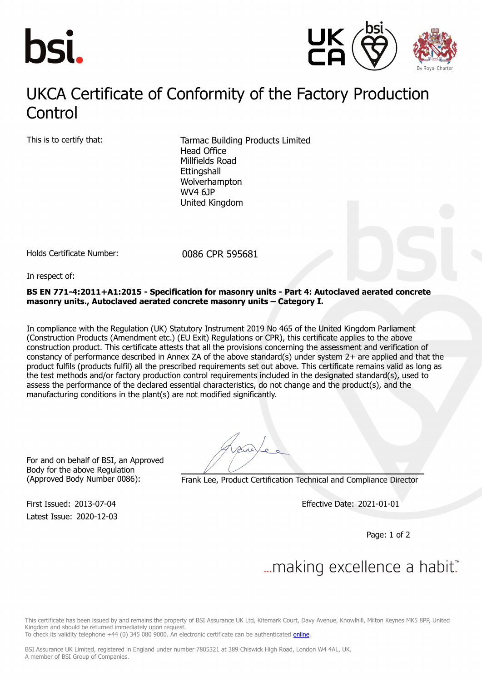



## UKCA Certificate of Conformity of the Factory Production **Control**

This is to certify that: Tarmac Building Products Limited Head Office Millfields Road **Ettingshall** Wolverhampton WV4 6JP United Kingdom

Holds Certificate Number: 0086 CPR 595681

In respect of:

**BS EN 771-4:2011+A1:2015 - Specification for masonry units - Part 4: Autoclaved aerated concrete masonry units., Autoclaved aerated concrete masonry units – Category I.**

In compliance with the Regulation (UK) Statutory Instrument 2019 No 465 of the United Kingdom Parliament (Construction Products (Amendment etc.) (EU Exit) Regulations or CPR), this certificate applies to the above construction product. This certificate attests that all the provisions concerning the assessment and verification of constancy of performance described in Annex ZA of the above standard(s) under system 2+ are applied and that the product fulfils (products fulfil) all the prescribed requirements set out above. This certificate remains valid as long as the test methods and/or factory production control requirements included in the designated standard(s), used to assess the performance of the declared essential characteristics, do not change and the product(s), and the manufacturing conditions in the plant(s) are not modified significantly.

For and on behalf of BSI, an Approved Body for the above Regulation

Latest Issue: 2020-12-03

(Approved Body Number 0086): Frank Lee, Product Certification Technical and Compliance Director

First Issued: 2013-07-04 Effective Date: 2021-01-01

Page: 1 of 2

## ... making excellence a habit."

This certificate has been issued by and remains the property of BSI Assurance UK Ltd, Kitemark Court, Davy Avenue, Knowlhill, Milton Keynes MK5 8PP, United Kingdom and should be returned immediately upon request.

To check its validity telephone +44 (0) 345 080 9000. An electronic certificate can be authenticated [online](https://pgplus.bsigroup.com/CertificateValidation/CertificateValidator.aspx?CertificateNumber=CPR 595681&ReIssueDate=03/12/2020&Template=uk).

BSI Assurance UK Limited, registered in England under number 7805321 at 389 Chiswick High Road, London W4 4AL, UK. A member of BSI Group of Companies.